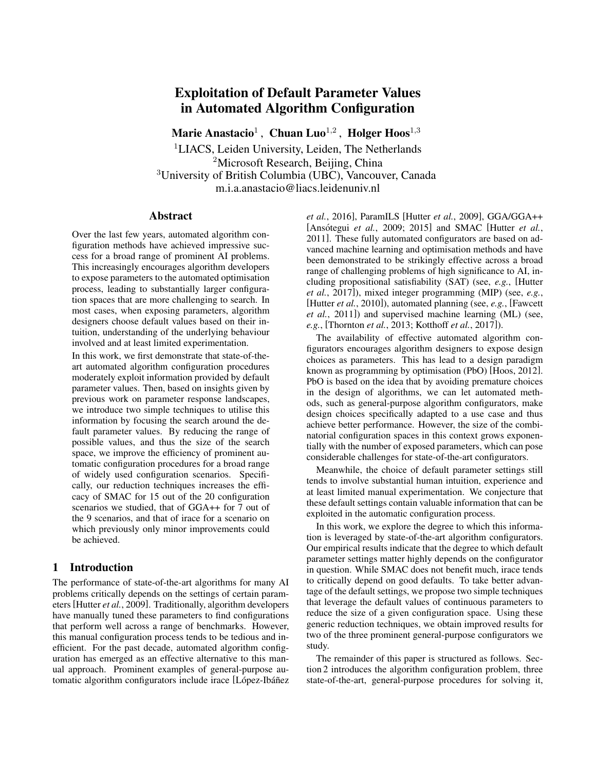# Exploitation of Default Parameter Values in Automated Algorithm Configuration

Marie Anastacio $^1\,$ ,  $\,$ Chuan Luo $^{1,2}$ ,  $\,$  Holger Hoos $^{1,3}$ 

<sup>1</sup>LIACS, Leiden University, Leiden, The Netherlands <sup>2</sup>Microsoft Research, Beijing, China <sup>3</sup>University of British Columbia (UBC), Vancouver, Canada m.i.a.anastacio@liacs.leidenuniv.nl

#### Abstract

Over the last few years, automated algorithm configuration methods have achieved impressive success for a broad range of prominent AI problems. This increasingly encourages algorithm developers to expose parameters to the automated optimisation process, leading to substantially larger configuration spaces that are more challenging to search. In most cases, when exposing parameters, algorithm designers choose default values based on their intuition, understanding of the underlying behaviour involved and at least limited experimentation.

In this work, we first demonstrate that state-of-theart automated algorithm configuration procedures moderately exploit information provided by default parameter values. Then, based on insights given by previous work on parameter response landscapes, we introduce two simple techniques to utilise this information by focusing the search around the default parameter values. By reducing the range of possible values, and thus the size of the search space, we improve the efficiency of prominent automatic configuration procedures for a broad range of widely used configuration scenarios. Specifically, our reduction techniques increases the efficacy of SMAC for 15 out of the 20 configuration scenarios we studied, that of GGA++ for 7 out of the 9 scenarios, and that of irace for a scenario on which previously only minor improvements could be achieved.

### 1 Introduction

The performance of state-of-the-art algorithms for many AI problems critically depends on the settings of certain parameters[Hutter *et al.*, 2009]. Traditionally, algorithm developers have manually tuned these parameters to find configurations that perform well across a range of benchmarks. However, this manual configuration process tends to be tedious and inefficient. For the past decade, automated algorithm configuration has emerged as an effective alternative to this manual approach. Prominent examples of general-purpose automatic algorithm configurators include irace [López-Ibáñez *et al.*, 2016], ParamILS [Hutter *et al.*, 2009], GGA/GGA++ [Ansótegui *et al.*, 2009; 2015] and SMAC [Hutter *et al.*, 2011]. These fully automated configurators are based on advanced machine learning and optimisation methods and have been demonstrated to be strikingly effective across a broad range of challenging problems of high significance to AI, including propositional satisfiability (SAT) (see, *e.g.*, [Hutter *et al.*, 2017]), mixed integer programming (MIP) (see, *e.g.*, [Hutter *et al.*, 2010]), automated planning (see, *e.g.*, [Fawcett *et al.*, 2011]) and supervised machine learning (ML) (see, *e.g.*, [Thornton *et al.*, 2013; Kotthoff *et al.*, 2017]).

The availability of effective automated algorithm configurators encourages algorithm designers to expose design choices as parameters. This has lead to a design paradigm known as programming by optimisation (PbO) [Hoos, 2012]. PbO is based on the idea that by avoiding premature choices in the design of algorithms, we can let automated methods, such as general-purpose algorithm configurators, make design choices specifically adapted to a use case and thus achieve better performance. However, the size of the combinatorial configuration spaces in this context grows exponentially with the number of exposed parameters, which can pose considerable challenges for state-of-the-art configurators.

Meanwhile, the choice of default parameter settings still tends to involve substantial human intuition, experience and at least limited manual experimentation. We conjecture that these default settings contain valuable information that can be exploited in the automatic configuration process.

In this work, we explore the degree to which this information is leveraged by state-of-the-art algorithm configurators. Our empirical results indicate that the degree to which default parameter settings matter highly depends on the configurator in question. While SMAC does not benefit much, irace tends to critically depend on good defaults. To take better advantage of the default settings, we propose two simple techniques that leverage the default values of continuous parameters to reduce the size of a given configuration space. Using these generic reduction techniques, we obtain improved results for two of the three prominent general-purpose configurators we study.

The remainder of this paper is structured as follows. Section 2 introduces the algorithm configuration problem, three state-of-the-art, general-purpose procedures for solving it,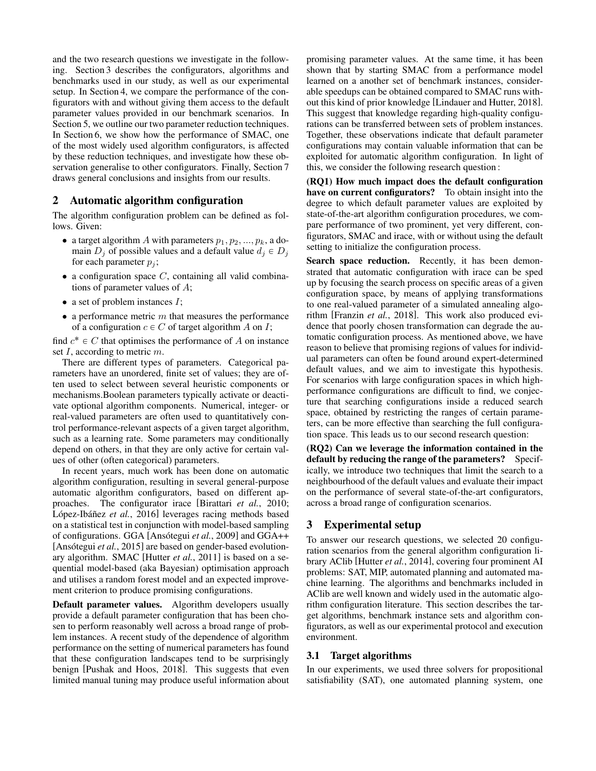and the two research questions we investigate in the following. Section 3 describes the configurators, algorithms and benchmarks used in our study, as well as our experimental setup. In Section 4, we compare the performance of the configurators with and without giving them access to the default parameter values provided in our benchmark scenarios. In Section 5, we outline our two parameter reduction techniques. In Section 6, we show how the performance of SMAC, one of the most widely used algorithm configurators, is affected by these reduction techniques, and investigate how these observation generalise to other configurators. Finally, Section 7 draws general conclusions and insights from our results.

## 2 Automatic algorithm configuration

The algorithm configuration problem can be defined as follows. Given:

- a target algorithm A with parameters  $p_1, p_2, ..., p_k$ , a domain  $D_i$  of possible values and a default value  $d_i \in D_i$ for each parameter  $p_i$ ;
- $\bullet$  a configuration space  $C$ , containing all valid combinations of parameter values of A;
- a set of problem instances  $I$ ;
- a performance metric  $m$  that measures the performance of a configuration  $c \in C$  of target algorithm A on I;

find  $c^* \in C$  that optimises the performance of A on instance set I, according to metric m.

There are different types of parameters. Categorical parameters have an unordered, finite set of values; they are often used to select between several heuristic components or mechanisms.Boolean parameters typically activate or deactivate optional algorithm components. Numerical, integer- or real-valued parameters are often used to quantitatively control performance-relevant aspects of a given target algorithm, such as a learning rate. Some parameters may conditionally depend on others, in that they are only active for certain values of other (often categorical) parameters.

In recent years, much work has been done on automatic algorithm configuration, resulting in several general-purpose automatic algorithm configurators, based on different approaches. The configurator irace [Birattari *et al.*, 2010; López-Ibáñez et al., 2016] leverages racing methods based on a statistical test in conjunction with model-based sampling of configurations. GGA [Ansótegui *et al.*, 2009] and GGA++ [Ansótegui *et al.*, 2015] are based on gender-based evolutionary algorithm. SMAC [Hutter *et al.*, 2011] is based on a sequential model-based (aka Bayesian) optimisation approach and utilises a random forest model and an expected improvement criterion to produce promising configurations.

Default parameter values. Algorithm developers usually provide a default parameter configuration that has been chosen to perform reasonably well across a broad range of problem instances. A recent study of the dependence of algorithm performance on the setting of numerical parameters has found that these configuration landscapes tend to be surprisingly benign [Pushak and Hoos, 2018]. This suggests that even limited manual tuning may produce useful information about promising parameter values. At the same time, it has been shown that by starting SMAC from a performance model learned on a another set of benchmark instances, considerable speedups can be obtained compared to SMAC runs without this kind of prior knowledge [Lindauer and Hutter, 2018]. This suggest that knowledge regarding high-quality configurations can be transferred between sets of problem instances. Together, these observations indicate that default parameter configurations may contain valuable information that can be exploited for automatic algorithm configuration. In light of this, we consider the following research question :

(RQ1) How much impact does the default configuration have on current configurators? To obtain insight into the degree to which default parameter values are exploited by state-of-the-art algorithm configuration procedures, we compare performance of two prominent, yet very different, configurators, SMAC and irace, with or without using the default setting to initialize the configuration process.

Search space reduction. Recently, it has been demonstrated that automatic configuration with irace can be sped up by focusing the search process on specific areas of a given configuration space, by means of applying transformations to one real-valued parameter of a simulated annealing algorithm [Franzin *et al.*, 2018]. This work also produced evidence that poorly chosen transformation can degrade the automatic configuration process. As mentioned above, we have reason to believe that promising regions of values for individual parameters can often be found around expert-determined default values, and we aim to investigate this hypothesis. For scenarios with large configuration spaces in which highperformance configurations are difficult to find, we conjecture that searching configurations inside a reduced search space, obtained by restricting the ranges of certain parameters, can be more effective than searching the full configuration space. This leads us to our second research question:

(RQ2) Can we leverage the information contained in the default by reducing the range of the parameters? Specifically, we introduce two techniques that limit the search to a neighbourhood of the default values and evaluate their impact on the performance of several state-of-the-art configurators, across a broad range of configuration scenarios.

## 3 Experimental setup

To answer our research questions, we selected 20 configuration scenarios from the general algorithm configuration library AClib [Hutter *et al.*, 2014], covering four prominent AI problems: SAT, MIP, automated planning and automated machine learning. The algorithms and benchmarks included in AClib are well known and widely used in the automatic algorithm configuration literature. This section describes the target algorithms, benchmark instance sets and algorithm configurators, as well as our experimental protocol and execution environment.

#### 3.1 Target algorithms

In our experiments, we used three solvers for propositional satisfiability (SAT), one automated planning system, one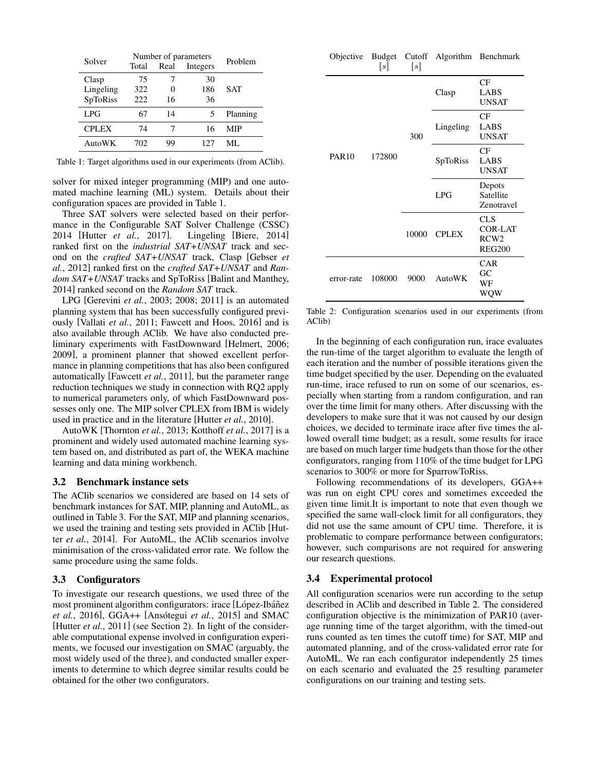| Solver       | Number of parameters      | Problem |     |          |
|--------------|---------------------------|---------|-----|----------|
|              | Total<br>Real<br>Integers |         |     |          |
| Clasp        | 75                        |         | 30  |          |
| Lingeling    | 322                       |         | 186 | SAT      |
| SpToRiss     | 222                       | 16      | 36  |          |
| LPG          | 67                        | 14      |     | Planning |
| <b>CPLEX</b> | 74                        |         | 16  | MIP      |
| AutoWK       | 702                       | 99      | 127 | ML.      |

Table 1: Target algorithms used in our experiments (from AClib).

solver for mixed integer programming (MIP) and one automated machine learning (ML) system. Details about their configuration spaces are provided in Table 1.

Three SAT solvers were selected based on their performance in the Configurable SAT Solver Challenge (CSSC) 2014 [Hutter *et al.*, 2017]. Lingeling [Biere, 2014] ranked first on the *industrial SAT+UNSAT* track and second on the *crafted SAT+UNSAT* track, Clasp [Gebser *et al.*, 2012] ranked first on the *crafted SAT+UNSAT* and *Random SAT+UNSAT* tracks and SpToRiss [Balint and Manthey, 2014] ranked second on the *Random SAT* track.

LPG [Gerevini *et al.*, 2003; 2008; 2011] is an automated planning system that has been successfully configured previously [Vallati *et al.*, 2011; Fawcett and Hoos, 2016] and is also available through AClib. We have also conducted preliminary experiments with FastDownward [Helmert, 2006; 2009], a prominent planner that showed excellent performance in planning competitions that has also been configured automatically [Fawcett *et al.*, 2011], but the parameter range reduction techniques we study in connection with RQ2 apply to numerical parameters only, of which FastDownward possesses only one. The MIP solver CPLEX from IBM is widely used in practice and in the literature [Hutter *et al.*, 2010].

AutoWK [Thornton *et al.*, 2013; Kotthoff *et al.*, 2017] is a prominent and widely used automated machine learning system based on, and distributed as part of, the WEKA machine learning and data mining workbench.

#### 3.2 Benchmark instance sets

The AClib scenarios we considered are based on 14 sets of benchmark instances for SAT, MIP, planning and AutoML, as outlined in Table 3. For the SAT, MIP and planning scenarios, we used the training and testing sets provided in AClib [Hutter *et al.*, 2014]. For AutoML, the AClib scenarios involve minimisation of the cross-validated error rate. We follow the same procedure using the same folds.

#### 3.3 Configurators

To investigate our research questions, we used three of the most prominent algorithm configurators: irace [López-Ibáñez *et al.*, 2016], GGA++ [Ansótegui *et al.*, 2015] and SMAC [Hutter *et al.*, 2011] (see Section 2). In light of the considerable computational expense involved in configuration experiments, we focused our investigation on SMAC (arguably, the most widely used of the three), and conducted smaller experiments to determine to which degree similar results could be obtained for the other two configurators.

|              | s      | s     | Objective Budget Cutoff Algorithm | Benchmark                                                         |
|--------------|--------|-------|-----------------------------------|-------------------------------------------------------------------|
|              | 172800 | 300   | Clasp                             | CF<br>LABS<br><b>UNSAT</b>                                        |
|              |        |       | Lingeling                         | CF<br>LABS<br><b>UNSAT</b>                                        |
| <b>PAR10</b> |        |       | SpToRiss                          | CF<br>LABS<br><b>UNSAT</b>                                        |
|              |        |       | LPG                               | Depots<br>Satellite<br>Zenotravel                                 |
|              |        | 10000 | <b>CPLEX</b>                      | <b>CLS</b><br><b>COR-LAT</b><br>RCW <sub>2</sub><br><b>REG200</b> |
| error-rate   | 108000 | 9000  | AutoWK                            | <b>CAR</b><br>GC<br>WF<br>WQW                                     |

Table 2: Configuration scenarios used in our experiments (from AClib)

In the beginning of each configuration run, irace evaluates the run-time of the target algorithm to evaluate the length of each iteration and the number of possible iterations given the time budget specified by the user. Depending on the evaluated run-time, irace refused to run on some of our scenarios, especially when starting from a random configuration, and ran over the time limit for many others. After discussing with the developers to make sure that it was not caused by our design choices, we decided to terminate irace after five times the allowed overall time budget; as a result, some results for irace are based on much larger time budgets than those for the other configurators, ranging from 110% of the time budget for LPG scenarios to 300% or more for SparrowToRiss.

Following recommendations of its developers, GGA++ was run on eight CPU cores and sometimes exceeded the given time limit.It is important to note that even though we specified the same wall-clock limit for all configurators, they did not use the same amount of CPU time. Therefore, it is problematic to compare performance between configurators; however, such comparisons are not required for answering our research questions.

#### 3.4 Experimental protocol

All configuration scenarios were run according to the setup described in AClib and described in Table 2. The considered configuration objective is the minimization of PAR10 (average running time of the target algorithm, with the timed-out runs counted as ten times the cutoff time) for SAT, MIP and automated planning, and of the cross-validated error rate for AutoML. We ran each configurator independently 25 times on each scenario and evaluated the 25 resulting parameter configurations on our training and testing sets.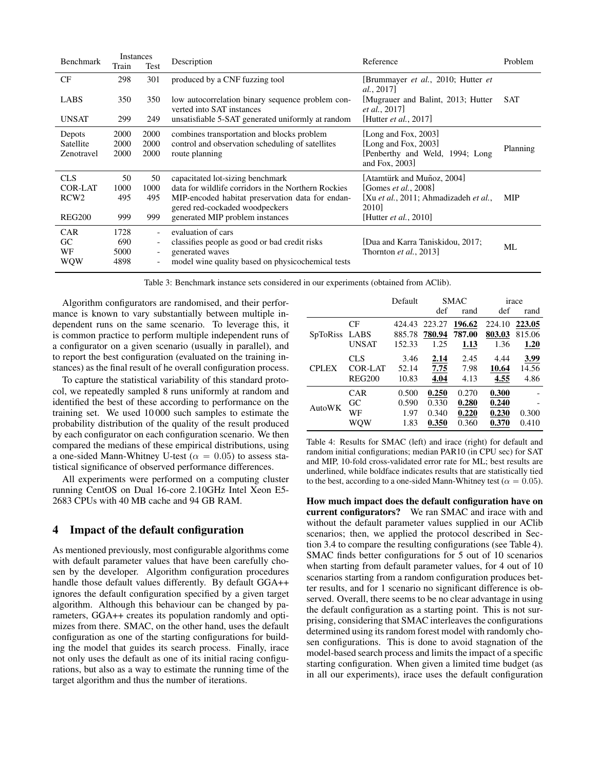| Benchmark                                                  | Instances                   |                          | Description                                                                                                                                                                                                      | Reference                                                                                                                                                                 | Problem    |
|------------------------------------------------------------|-----------------------------|--------------------------|------------------------------------------------------------------------------------------------------------------------------------------------------------------------------------------------------------------|---------------------------------------------------------------------------------------------------------------------------------------------------------------------------|------------|
|                                                            | Train                       | Test                     |                                                                                                                                                                                                                  |                                                                                                                                                                           |            |
| CF                                                         | 298                         | 301                      | produced by a CNF fuzzing tool                                                                                                                                                                                   | [Brummayer <i>et al.</i> , 2010; Hutter <i>et</i><br>al., 2017]                                                                                                           |            |
| LABS                                                       | 350                         | 350                      | low autocorrelation binary sequence problem con-<br>verted into SAT instances                                                                                                                                    | [Mugrauer and Balint, 2013; Hutter<br><i>et al.</i> , 2017                                                                                                                | <b>SAT</b> |
| <b>UNSAT</b>                                               | 299                         | 249                      | unsatisfiable 5-SAT generated uniformly at random                                                                                                                                                                | Hutter <i>et al.</i> , 2017]                                                                                                                                              |            |
| Depots<br>Satellite<br>Zenotravel                          | 2000<br>2000<br>2000        | 2000<br>2000<br>2000     | combines transportation and blocks problem<br>control and observation scheduling of satellities<br>route planning                                                                                                | [Long and Fox, 2003]<br>[Long and Fox, 2003]<br>[Penberthy and Weld, 1994; Long<br>and Fox, 2003]                                                                         | Planning   |
| <b>CLS</b><br>COR-LAT<br>RCW <sub>2</sub><br><b>REG200</b> | 50<br>1000<br>495<br>999    | 50<br>1000<br>495<br>999 | capacitated lot-sizing benchmark<br>data for wildlife corridors in the Northern Rockies<br>MIP-encoded habitat preservation data for endan-<br>gered red-cockaded woodpeckers<br>generated MIP problem instances | [Atamtürk and Muñoz, 2004]<br>[Gomes <i>et al.</i> , 2008]<br>[Xu <i>et al.</i> , 2011; Ahmadizadeh <i>et al.</i> ,<br>2010 <sub>l</sub><br>[Hutter <i>et al.</i> , 2010] | <b>MIP</b> |
| <b>CAR</b><br>GC<br>WF<br>WQW                              | 1728<br>690<br>5000<br>4898 | $\overline{\phantom{a}}$ | evaluation of cars<br>classifies people as good or bad credit risks<br>generated waves<br>model wine quality based on physicochemical tests                                                                      | [Dua and Karra Taniskidou, 2017;<br>Thornton <i>et al.</i> , 2013                                                                                                         | ML         |

Table 3: Benchmark instance sets considered in our experiments (obtained from AClib).

Algorithm configurators are randomised, and their performance is known to vary substantially between multiple independent runs on the same scenario. To leverage this, it is common practice to perform multiple independent runs of a configurator on a given scenario (usually in parallel), and to report the best configuration (evaluated on the training instances) as the final result of he overall configuration process.

To capture the statistical variability of this standard protocol, we repeatedly sampled 8 runs uniformly at random and identified the best of these according to performance on the training set. We used 10 000 such samples to estimate the probability distribution of the quality of the result produced by each configurator on each configuration scenario. We then compared the medians of these empirical distributions, using a one-sided Mann-Whitney U-test ( $\alpha = 0.05$ ) to assess statistical significance of observed performance differences.

All experiments were performed on a computing cluster running CentOS on Dual 16-core 2.10GHz Intel Xeon E5- 2683 CPUs with 40 MB cache and 94 GB RAM.

## 4 Impact of the default configuration

As mentioned previously, most configurable algorithms come with default parameter values that have been carefully chosen by the developer. Algorithm configuration procedures handle those default values differently. By default GGA++ ignores the default configuration specified by a given target algorithm. Although this behaviour can be changed by parameters, GGA++ creates its population randomly and optimizes from there. SMAC, on the other hand, uses the default configuration as one of the starting configurations for building the model that guides its search process. Finally, irace not only uses the default as one of its initial racing configurations, but also as a way to estimate the running time of the target algorithm and thus the number of iterations.

|                 |               | Default |        | <b>SMAC</b> |        | irace  |
|-----------------|---------------|---------|--------|-------------|--------|--------|
|                 |               |         | def    | rand        | def    | rand   |
|                 | CF            | 424.43  | 223.27 | 196.62      | 224.10 | 223.05 |
| <b>SpToRiss</b> | LABS          | 885.78  | 780.94 | 787.00      | 803.03 | 815.06 |
|                 | <b>UNSAT</b>  | 152.33  | 1.25   | 1.13        | 1.36   | 1.20   |
|                 | CLS           | 3.46    | 2.14   | 2.45        | 4.44   | 3.99   |
| <b>CPLEX</b>    | COR-LAT       | 52.14   | 7.75   | 7.98        | 10.64  | 14.56  |
|                 | <b>REG200</b> | 10.83   | 4.04   | 4.13        | 4.55   | 4.86   |
|                 | CAR           | 0.500   | 0.250  | 0.270       | 0.300  |        |
| <b>AutoWK</b>   | GC            | 0.590   | 0.330  | 0.280       | 0.240  |        |
|                 | WF            | 1.97    | 0.340  | 0.220       | 0.230  | 0.300  |
|                 | wow           | 1.83    | 0.350  | 0.360       | 0.370  | 0.410  |

Table 4: Results for SMAC (left) and irace (right) for default and random initial configurations; median PAR10 (in CPU sec) for SAT and MIP, 10-fold cross-validated error rate for ML; best results are underlined, while boldface indicates results that are statistically tied to the best, according to a one-sided Mann-Whitney test ( $\alpha = 0.05$ ).

How much impact does the default configuration have on current configurators? We ran SMAC and irace with and without the default parameter values supplied in our AClib scenarios; then, we applied the protocol described in Section 3.4 to compare the resulting configurations (see Table 4). SMAC finds better configurations for 5 out of 10 scenarios when starting from default parameter values, for 4 out of 10 scenarios starting from a random configuration produces better results, and for 1 scenario no significant difference is observed. Overall, there seems to be no clear advantage in using the default configuration as a starting point. This is not surprising, considering that SMAC interleaves the configurations determined using its random forest model with randomly chosen configurations. This is done to avoid stagnation of the model-based search process and limits the impact of a specific starting configuration. When given a limited time budget (as in all our experiments), irace uses the default configuration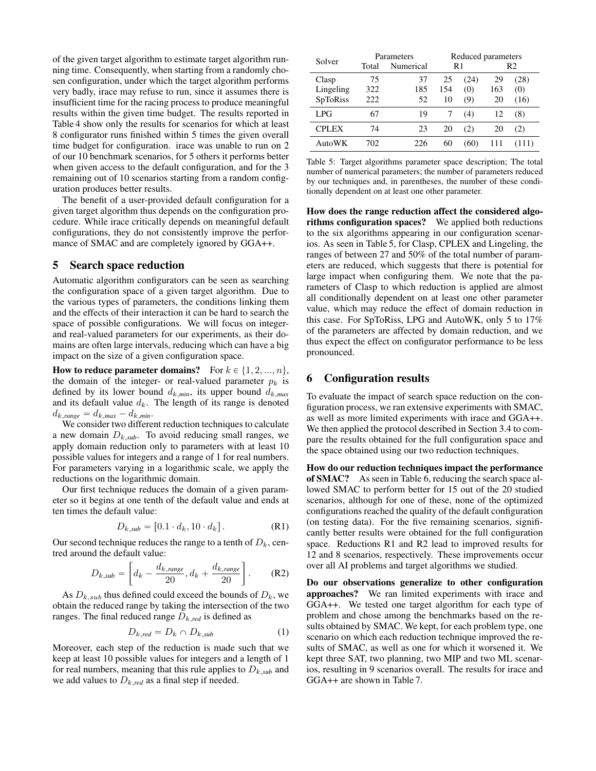of the given target algorithm to estimate target algorithm running time. Consequently, when starting from a randomly chosen configuration, under which the target algorithm performs very badly, irace may refuse to run, since it assumes there is insufficient time for the racing process to produce meaningful results within the given time budget. The results reported in Table 4 show only the results for scenarios for which at least 8 configurator runs finished within 5 times the given overall time budget for configuration. irace was unable to run on 2 of our 10 benchmark scenarios, for 5 others it performs better when given access to the default configuration, and for the 3 remaining out of 10 scenarios starting from a random configuration produces better results.

The benefit of a user-provided default configuration for a given target algorithm thus depends on the configuration procedure. While irace critically depends on meaningful default configurations, they do not consistently improve the performance of SMAC and are completely ignored by GGA++.

#### 5 Search space reduction

Automatic algorithm configurators can be seen as searching the configuration space of a given target algorithm. Due to the various types of parameters, the conditions linking them and the effects of their interaction it can be hard to search the space of possible configurations. We will focus on integerand real-valued parameters for our experiments, as their domains are often large intervals, reducing which can have a big impact on the size of a given configuration space.

How to reduce parameter domains? For  $k \in \{1, 2, ..., n\}$ , the domain of the integer- or real-valued parameter  $p_k$  is defined by its lower bound  $d_{k,min}$ , its upper bound  $d_{k,max}$ and its default value  $d_k$ . The length of its range is denoted  $d_{k,range} = d_{k,max} - d_{k,min}.$ 

We consider two different reduction techniques to calculate a new domain  $D_{k,sub}$ . To avoid reducing small ranges, we apply domain reduction only to parameters with at least 10 possible values for integers and a range of 1 for real numbers. For parameters varying in a logarithmic scale, we apply the reductions on the logarithmic domain.

Our first technique reduces the domain of a given parameter so it begins at one tenth of the default value and ends at ten times the default value:

$$
D_{k,sub} = [0.1 \cdot d_k, 10 \cdot d_k]. \tag{R1}
$$

Our second technique reduces the range to a tenth of  $D_k$ , centred around the default value:

$$
D_{k,sub} = \left[ d_k - \frac{d_{k,range}}{20}, d_k + \frac{d_{k,range}}{20} \right].
$$
 (R2)

As  $D_{k,sub}$  thus defined could exceed the bounds of  $D_k$ , we obtain the reduced range by taking the intersection of the two ranges. The final reduced range  $D_{k,red}$  is defined as

$$
D_{k,red} = D_k \cap D_{k,sub} \tag{1}
$$

Moreover, each step of the reduction is made such that we keep at least 10 possible values for integers and a length of 1 for real numbers, meaning that this rule applies to  $D_{k,sub}$  and we add values to  $D_{k, red}$  as a final step if needed.

| Solver          |       | Parameters | Reduced parameters |      |                |      |
|-----------------|-------|------------|--------------------|------|----------------|------|
|                 | Total | Numerical  | R1                 |      | R <sub>2</sub> |      |
| Clasp           | 75    | 37         | 25                 | (24) | 29             | (28) |
| Lingeling       | 322   | 185        | 154                | (0)  | 163            | (0)  |
| <b>SpToRiss</b> | 222   | 52         | 10                 | (9)  | 20             | (16) |
| LPG.            | 67    | 19         |                    | (4)  | 12             | (8)  |
| <b>CPLEX</b>    | 74    | 23         | 20                 | (2)  | 20             | (2)  |
| AutoWK          | 702   | 226        | 60                 | (60) |                | 111) |

Table 5: Target algorithms parameter space description; The total number of numerical parameters; the number of parameters reduced by our techniques and, in parentheses, the number of these conditionally dependent on at least one other parameter.

How does the range reduction affect the considered algorithms configuration spaces? We applied both reductions to the six algorithms appearing in our configuration scenarios. As seen in Table 5, for Clasp, CPLEX and Lingeling, the ranges of between 27 and 50% of the total number of parameters are reduced, which suggests that there is potential for large impact when configuring them. We note that the parameters of Clasp to which reduction is applied are almost all conditionally dependent on at least one other parameter value, which may reduce the effect of domain reduction in this case. For SpToRiss, LPG and AutoWK, only 5 to 17% of the parameters are affected by domain reduction, and we thus expect the effect on configurator performance to be less pronounced.

## 6 Configuration results

To evaluate the impact of search space reduction on the configuration process, we ran extensive experiments with SMAC, as well as more limited experiments with irace and GGA++. We then applied the protocol described in Section 3.4 to compare the results obtained for the full configuration space and the space obtained using our two reduction techniques.

How do our reduction techniques impact the performance of SMAC? As seen in Table 6, reducing the search space allowed SMAC to perform better for 15 out of the 20 studied scenarios, although for one of these, none of the optimized configurations reached the quality of the default configuration (on testing data). For the five remaining scenarios, significantly better results were obtained for the full configuration space. Reductions R1 and R2 lead to improved results for 12 and 8 scenarios, respectively. These improvements occur over all AI problems and target algorithms we studied.

Do our observations generalize to other configuration approaches? We ran limited experiments with irace and GGA++. We tested one target algorithm for each type of problem and chose among the benchmarks based on the results obtained by SMAC. We kept, for each problem type, one scenario on which each reduction technique improved the results of SMAC, as well as one for which it worsened it. We kept three SAT, two planning, two MIP and two ML scenarios, resulting in 9 scenarios overall. The results for irace and GGA++ are shown in Table 7.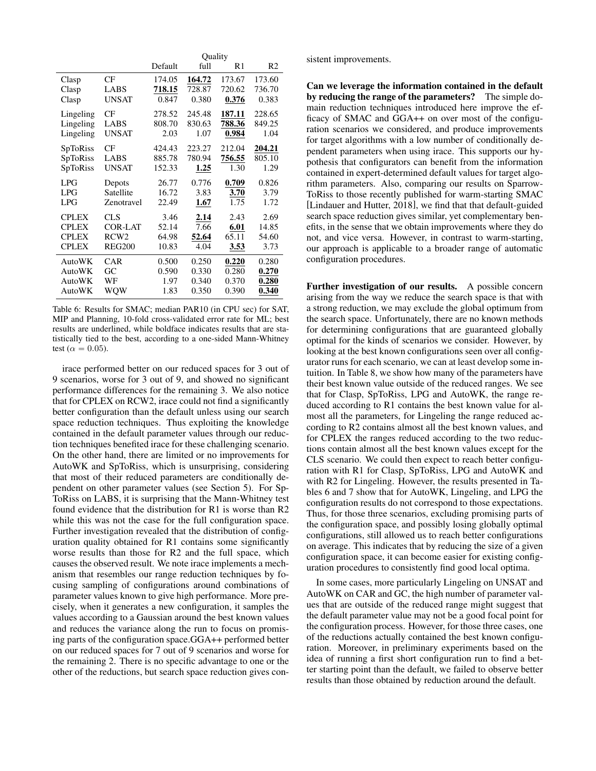|                 |                  | Quality |        |        |        |  |  |
|-----------------|------------------|---------|--------|--------|--------|--|--|
|                 |                  | Default | full   | R1     | R2     |  |  |
| Clasp           | CF               | 174.05  | 164.72 | 173.67 | 173.60 |  |  |
| Clasp           | LABS             | 718.15  | 728.87 | 720.62 | 736.70 |  |  |
| Clasp           | <b>UNSAT</b>     | 0.847   | 0.380  | 0.376  | 0.383  |  |  |
| Lingeling       | CF               | 278.52  | 245.48 | 187.11 | 228.65 |  |  |
| Lingeling       | LABS             | 808.70  | 830.63 | 788.36 | 849.25 |  |  |
| Lingeling       | <b>UNSAT</b>     | 2.03    | 1.07   | 0.984  | 1.04   |  |  |
| <b>SpToRiss</b> | CF               | 424.43  | 223.27 | 212.04 | 204.21 |  |  |
| SpToRiss        | LABS             | 885.78  | 780.94 | 756.55 | 805.10 |  |  |
| <b>SpToRiss</b> | <b>UNSAT</b>     | 152.33  | 1.25   | 1.30   | 1.29   |  |  |
| LPG             | Depots           | 26.77   | 0.776  | 0.709  | 0.826  |  |  |
| LPG             | Satellite        | 16.72   | 3.83   | 3.70   | 3.79   |  |  |
| LPG             | Zenotravel       | 22.49   | 1.67   | 1.75   | 1.72   |  |  |
| <b>CPLEX</b>    | <b>CLS</b>       | 3.46    | 2.14   | 2.43   | 2.69   |  |  |
| <b>CPLEX</b>    | <b>COR-LAT</b>   | 52.14   | 7.66   | 6.01   | 14.85  |  |  |
| <b>CPLEX</b>    | RCW <sub>2</sub> | 64.98   | 52.64  | 65.11  | 54.60  |  |  |
| <b>CPLEX</b>    | <b>REG200</b>    | 10.83   | 4.04   | 3.53   | 3.73   |  |  |
| AutoWK          | <b>CAR</b>       | 0.500   | 0.250  | 0.220  | 0.280  |  |  |
| AutoWK          | GC               | 0.590   | 0.330  | 0.280  | 0.270  |  |  |
| AutoWK          | WF               | 1.97    | 0.340  | 0.370  | 0.280  |  |  |
| AutoWK          | WQW              | 1.83    | 0.350  | 0.390  | 0.340  |  |  |

Table 6: Results for SMAC; median PAR10 (in CPU sec) for SAT, MIP and Planning, 10-fold cross-validated error rate for ML; best results are underlined, while boldface indicates results that are statistically tied to the best, according to a one-sided Mann-Whitney test ( $\alpha = 0.05$ ).

irace performed better on our reduced spaces for 3 out of 9 scenarios, worse for 3 out of 9, and showed no significant performance differences for the remaining 3. We also notice that for CPLEX on RCW2, irace could not find a significantly better configuration than the default unless using our search space reduction techniques. Thus exploiting the knowledge contained in the default parameter values through our reduction techniques benefited irace for these challenging scenario. On the other hand, there are limited or no improvements for AutoWK and SpToRiss, which is unsurprising, considering that most of their reduced parameters are conditionally dependent on other parameter values (see Section 5). For Sp-ToRiss on LABS, it is surprising that the Mann-Whitney test found evidence that the distribution for R1 is worse than R2 while this was not the case for the full configuration space. Further investigation revealed that the distribution of configuration quality obtained for R1 contains some significantly worse results than those for R2 and the full space, which causes the observed result. We note irace implements a mechanism that resembles our range reduction techniques by focusing sampling of configurations around combinations of parameter values known to give high performance. More precisely, when it generates a new configuration, it samples the values according to a Gaussian around the best known values and reduces the variance along the run to focus on promising parts of the configuration space.GGA++ performed better on our reduced spaces for 7 out of 9 scenarios and worse for the remaining 2. There is no specific advantage to one or the other of the reductions, but search space reduction gives consistent improvements.

Can we leverage the information contained in the default by reducing the range of the parameters? The simple domain reduction techniques introduced here improve the efficacy of SMAC and GGA++ on over most of the configuration scenarios we considered, and produce improvements for target algorithms with a low number of conditionally dependent parameters when using irace. This supports our hypothesis that configurators can benefit from the information contained in expert-determined default values for target algorithm parameters. Also, comparing our results on Sparrow-ToRiss to those recently published for warm-starting SMAC [Lindauer and Hutter, 2018], we find that that default-guided search space reduction gives similar, yet complementary benefits, in the sense that we obtain improvements where they do not, and vice versa. However, in contrast to warm-starting, our approach is applicable to a broader range of automatic configuration procedures.

Further investigation of our results. A possible concern arising from the way we reduce the search space is that with a strong reduction, we may exclude the global optimum from the search space. Unfortunately, there are no known methods for determining configurations that are guaranteed globally optimal for the kinds of scenarios we consider. However, by looking at the best known configurations seen over all configurator runs for each scenario, we can at least develop some intuition. In Table 8, we show how many of the parameters have their best known value outside of the reduced ranges. We see that for Clasp, SpToRiss, LPG and AutoWK, the range reduced according to R1 contains the best known value for almost all the parameters, for Lingeling the range reduced according to R2 contains almost all the best known values, and for CPLEX the ranges reduced according to the two reductions contain almost all the best known values except for the CLS scenario. We could then expect to reach better configuration with R1 for Clasp, SpToRiss, LPG and AutoWK and with R2 for Lingeling. However, the results presented in Tables 6 and 7 show that for AutoWK, Lingeling, and LPG the configuration results do not correspond to those expectations. Thus, for those three scenarios, excluding promising parts of the configuration space, and possibly losing globally optimal configurations, still allowed us to reach better configurations on average. This indicates that by reducing the size of a given configuration space, it can become easier for existing configuration procedures to consistently find good local optima.

In some cases, more particularly Lingeling on UNSAT and AutoWK on CAR and GC, the high number of parameter values that are outside of the reduced range might suggest that the default parameter value may not be a good focal point for the configuration process. However, for those three cases, one of the reductions actually contained the best known configuration. Moreover, in preliminary experiments based on the idea of running a first short configuration run to find a better starting point than the default, we failed to observe better results than those obtained by reduction around the default.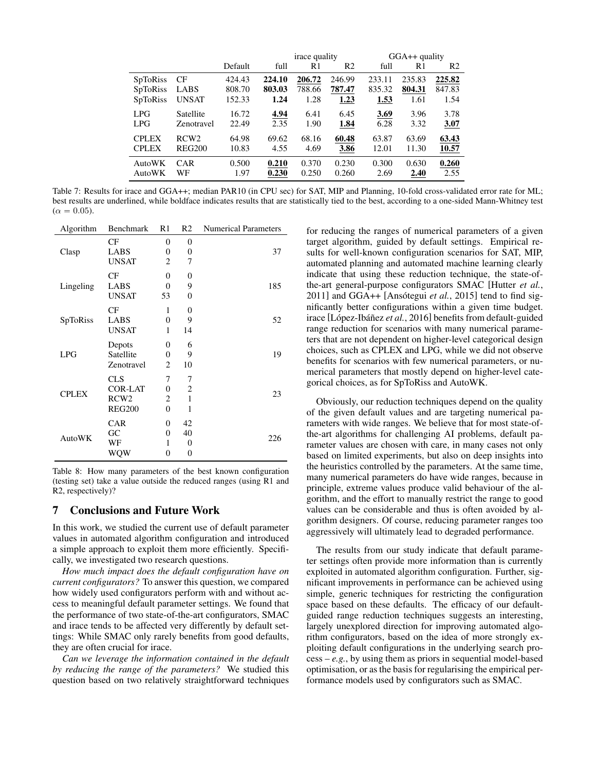|                 |                  |         | <i>irace</i> quality |        |                | GGA++ quality |        |                |
|-----------------|------------------|---------|----------------------|--------|----------------|---------------|--------|----------------|
|                 |                  | Default | full                 | R1     | R <sub>2</sub> | full          | R1     | R <sub>2</sub> |
| <b>SpToRiss</b> | CF               | 424.43  | 224.10               | 206.72 | 246.99         | 233.11        | 235.83 | 225.82         |
| <b>SpToRiss</b> | LABS             | 808.70  | 803.03               | 788.66 | 787.47         | 835.32        | 804.31 | 847.83         |
| <b>SpToRiss</b> | <b>UNSAT</b>     | 152.33  | 1.24                 | 1.28   | 1.23           | 1.53          | 1.61   | 1.54           |
| LPG             | Satellite        | 16.72   | 4.94                 | 6.41   | 6.45           | 3.69          | 3.96   | 3.78           |
| LPG             | Zenotravel       | 22.49   | 2.35                 | 1.90   | 1.84           | 6.28          | 3.32   | 3.07           |
| <b>CPLEX</b>    | RCW <sub>2</sub> | 64.98   | 69.62                | 68.16  | 60.48          | 63.87         | 63.69  | 63.43          |
| <b>CPLEX</b>    | <b>REG200</b>    | 10.83   | 4.55                 | 4.69   | 3.86           | 12.01         | 11.30  | 10.57          |
| AutoWK          | <b>CAR</b>       | 0.500   | 0.210                | 0.370  | 0.230          | 0.300         | 0.630  | 0.260          |
| AutoWK          | WF               | 1.97    | 0.230                | 0.250  | 0.260          | 2.69          | 2.40   | 2.55           |

Table 7: Results for irace and GGA++; median PAR10 (in CPU sec) for SAT, MIP and Planning, 10-fold cross-validated error rate for ML; best results are underlined, while boldface indicates results that are statistically tied to the best, according to a one-sided Mann-Whitney test  $(\alpha = 0.05)$ .

| Algorithm     | Benchmark        | R1             | R <sub>2</sub> | <b>Numerical Parameters</b> |
|---------------|------------------|----------------|----------------|-----------------------------|
|               | CF               | 0              | 0              |                             |
| Clasp         | LABS             | 0              | 0              | 37                          |
|               | <b>UNSAT</b>     | 2              | 7              |                             |
|               | CF               | 0              | 0              |                             |
| Lingeling     | LABS             | $\overline{0}$ | 9              | 185                         |
|               | <b>UNSAT</b>     | 53             | $\overline{0}$ |                             |
|               | CF               | 1              | 0              |                             |
| SpToRiss      | LABS             | $\overline{0}$ | 9              | 52                          |
|               | <b>UNSAT</b>     | 1              | 14             |                             |
|               | Depots           | 0              | 6              |                             |
| <b>LPG</b>    | Satellite        | 0              | 9              | 19                          |
|               | Zenotravel       | 2              | 10             |                             |
|               | <b>CLS</b>       | 7              | 7              |                             |
| <b>CPLEX</b>  | <b>COR-LAT</b>   | $\Omega$       | $\overline{2}$ |                             |
|               | RCW <sub>2</sub> | 2              | 1              | 23                          |
|               | <b>REG200</b>    | $\overline{0}$ | 1              |                             |
|               | <b>CAR</b>       | 0              | 42             |                             |
|               | GC               | 0              | 40             |                             |
| <b>AutoWK</b> | WF               | 1              | 0              | 226                         |
|               | WQW              | 0              | 0              |                             |

Table 8: How many parameters of the best known configuration (testing set) take a value outside the reduced ranges (using R1 and R2, respectively)?

## 7 Conclusions and Future Work

In this work, we studied the current use of default parameter values in automated algorithm configuration and introduced a simple approach to exploit them more efficiently. Specifically, we investigated two research questions.

*How much impact does the default configuration have on current configurators?* To answer this question, we compared how widely used configurators perform with and without access to meaningful default parameter settings. We found that the performance of two state-of-the-art configurators, SMAC and irace tends to be affected very differently by default settings: While SMAC only rarely benefits from good defaults, they are often crucial for irace.

*Can we leverage the information contained in the default by reducing the range of the parameters?* We studied this question based on two relatively straightforward techniques for reducing the ranges of numerical parameters of a given target algorithm, guided by default settings. Empirical results for well-known configuration scenarios for SAT, MIP, automated planning and automated machine learning clearly indicate that using these reduction technique, the state-ofthe-art general-purpose configurators SMAC [Hutter *et al.*,  $2011$ ] and GGA++ [Ansótegui *et al.*, 2015] tend to find significantly better configurations within a given time budget. irace [López-Ibáñez et al., 2016] benefits from default-guided range reduction for scenarios with many numerical parameters that are not dependent on higher-level categorical design choices, such as CPLEX and LPG, while we did not observe benefits for scenarios with few numerical parameters, or numerical parameters that mostly depend on higher-level categorical choices, as for SpToRiss and AutoWK.

Obviously, our reduction techniques depend on the quality of the given default values and are targeting numerical parameters with wide ranges. We believe that for most state-ofthe-art algorithms for challenging AI problems, default parameter values are chosen with care, in many cases not only based on limited experiments, but also on deep insights into the heuristics controlled by the parameters. At the same time, many numerical parameters do have wide ranges, because in principle, extreme values produce valid behaviour of the algorithm, and the effort to manually restrict the range to good values can be considerable and thus is often avoided by algorithm designers. Of course, reducing parameter ranges too aggressively will ultimately lead to degraded performance.

The results from our study indicate that default parameter settings often provide more information than is currently exploited in automated algorithm configuration. Further, significant improvements in performance can be achieved using simple, generic techniques for restricting the configuration space based on these defaults. The efficacy of our defaultguided range reduction techniques suggests an interesting, largely unexplored direction for improving automated algorithm configurators, based on the idea of more strongly exploiting default configurations in the underlying search pro $cess - e.g.,$  by using them as priors in sequential model-based optimisation, or as the basis for regularising the empirical performance models used by configurators such as SMAC.